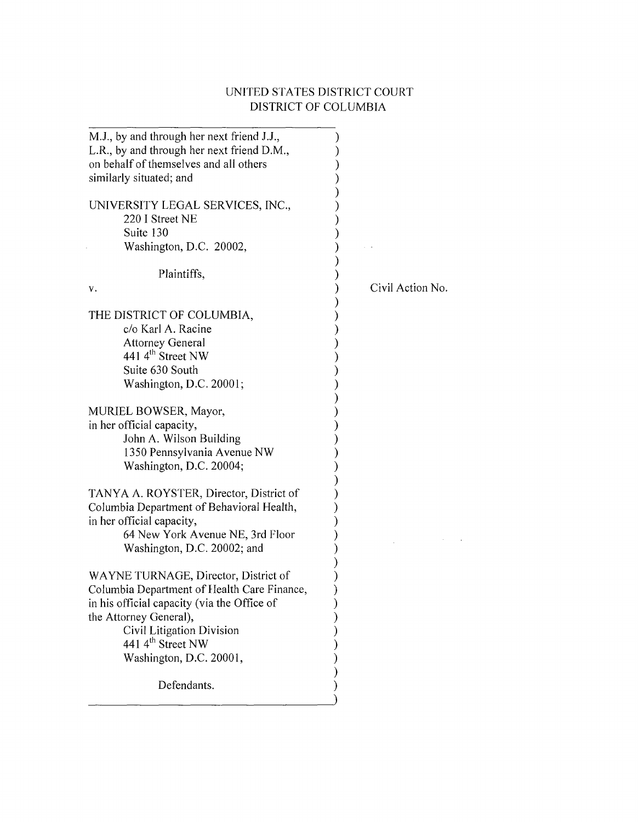## UNITED STATES DISTRICT COURT DISTRICT OF COLUMBIA

 $\mathcal{L}^{\text{max}}_{\text{max}}$  and  $\mathcal{L}^{\text{max}}_{\text{max}}$ 

| M.J., by and through her next friend J.J.,<br>L.R., by and through her next friend D.M.,<br>on behalf of themselves and all others<br>similarly situated; and |                  |
|---------------------------------------------------------------------------------------------------------------------------------------------------------------|------------------|
| UNIVERSITY LEGAL SERVICES, INC.,                                                                                                                              |                  |
| 220 I Street NE                                                                                                                                               |                  |
| Suite 130                                                                                                                                                     |                  |
| Washington, D.C. 20002,                                                                                                                                       |                  |
|                                                                                                                                                               |                  |
| Plaintiffs,                                                                                                                                                   |                  |
| ν.                                                                                                                                                            | Civil Action No. |
|                                                                                                                                                               |                  |
| THE DISTRICT OF COLUMBIA,                                                                                                                                     |                  |
| c/o Karl A. Racine                                                                                                                                            |                  |
| <b>Attorney General</b>                                                                                                                                       |                  |
| 441 4 <sup>th</sup> Street NW                                                                                                                                 |                  |
| Suite 630 South                                                                                                                                               |                  |
| Washington, D.C. 20001;                                                                                                                                       |                  |
| MURIEL BOWSER, Mayor,                                                                                                                                         |                  |
| in her official capacity,                                                                                                                                     |                  |
| John A. Wilson Building                                                                                                                                       |                  |
| 1350 Pennsylvania Avenue NW                                                                                                                                   |                  |
| Washington, D.C. 20004;                                                                                                                                       |                  |
|                                                                                                                                                               |                  |
| TANYA A. ROYSTER, Director, District of                                                                                                                       |                  |
| Columbia Department of Behavioral Health,                                                                                                                     |                  |
| in her official capacity,                                                                                                                                     |                  |
| 64 New York Avenue NE, 3rd Floor                                                                                                                              |                  |
| Washington, D.C. 20002; and                                                                                                                                   |                  |
|                                                                                                                                                               |                  |
| WAYNE TURNAGE, Director, District of                                                                                                                          |                  |
| Columbia Department of Health Care Finance,                                                                                                                   |                  |
| in his official capacity (via the Office of                                                                                                                   |                  |
| the Attorney General),                                                                                                                                        |                  |
| Civil Litigation Division                                                                                                                                     |                  |
| 441 $4^{\text{th}}$ Street NW                                                                                                                                 |                  |
| Washington, D.C. 20001,                                                                                                                                       |                  |
| Defendants.                                                                                                                                                   |                  |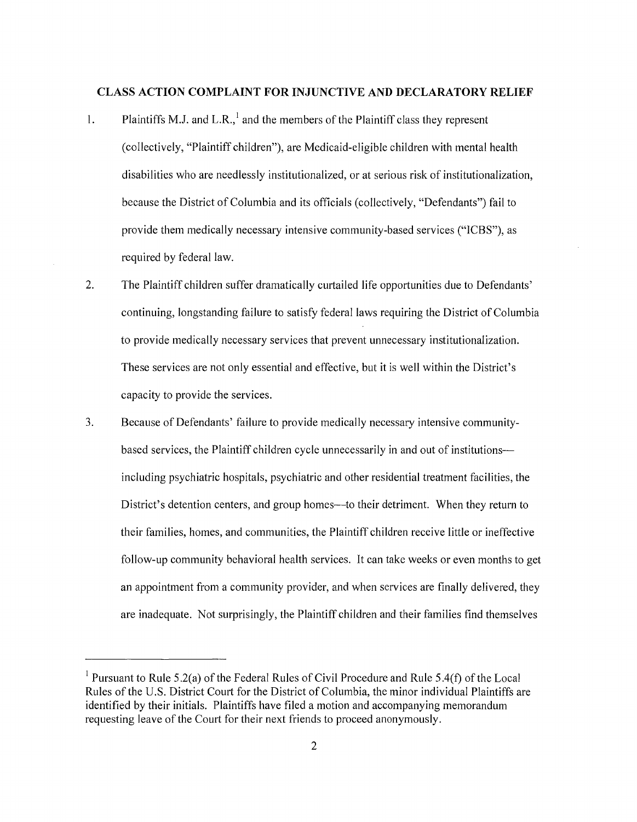#### **CLASS ACTION COMPLAINT FOR INJUNCTIVE AND DECLARATORY RELIEF**

- 1. Plaintiffs M.J. and L.R.,  $<sup>1</sup>$  and the members of the Plaintiff class they represent</sup> (collectively, "Plaintiff children"), are Medicaid-eligible children with mental health disabilities who are needlessly institutionalized, or at serious risk of institutionalization, because the District of Columbia and its officials (collectively, "Defendants") fail to provide them medically necessary intensive community-based services ("ICBS"), as required by federal law.
- 2. The Plaintiff children suffer dramatically curtailed life opportunities due to Defendants' continuing, longstanding failure to satisfy federal laws requiring the District of Columbia to provide medically necessary services that prevent unnecessary institutionalization. These services are not only essential and effective, but it is well within the District's capacity to provide the services.
- 3. Because of Defendants' failure to provide medically necessary intensive communitybased services, the Plaintiff children cycle unnecessarily in and out of institutionsincluding psychiatric hospitals, psychiatric and other residential treatment facilities, the District's detention centers, and group homes—to their detriment. When they return to their families, homes, and communities, the Plaintiff children receive little or ineffective follow-up community behavioral health services. It can take weeks or even months to get an appointment from a community provider, and when services are finally delivered, they are inadequate. Not surprisingly, the Plaintiff children and their families find themselves

<sup>&</sup>lt;sup>1</sup> Pursuant to Rule 5.2(a) of the Federal Rules of Civil Procedure and Rule 5.4(f) of the Local Rules of the U.S. District Court for the District of Columbia, the minor individual Plaintiffs are identified by their initials. Plaintiffs have filed a motion and accompanying memorandum requesting leave of the Court for their next friends to proceed anonymously.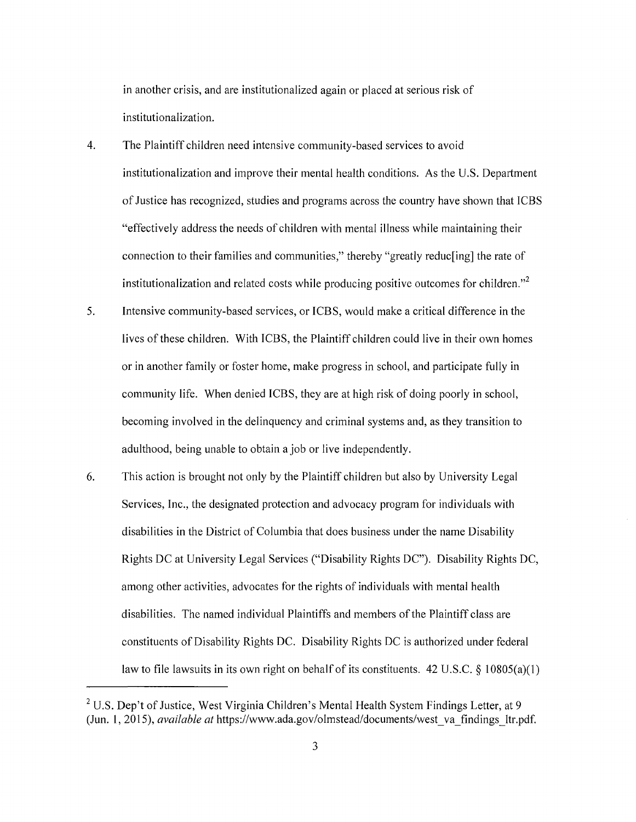in another crisis, and are institutionalized again or placed at serious risk of institutionalization.

- 4. The Plaintiff children need intensive community-based services to avoid institutionalization and improve their mental health conditions. As the U.S. Department of Justice has recognized, studies and programs across the country have shown that ICBS "effectively address the needs of children with mental illness while maintaining their connection to their families and communities," thereby "greatly reduc[ing] the rate of institutionalization and related costs while producing positive outcomes for children."<sup>2</sup>
- 5. Intensive community-based services, or ICBS, would make a critical difference in the lives of these children. With ICBS, the Plaintiff children could live in their own homes or in another family or foster home, make progress in school, and participate fully in community life. When denied ICBS, they are at high risk of doing poorly in school, becoming involved in the delinquency and criminal systems and, as they transition to adulthood, being unable to obtain a job or live independently.
- 6. This action is brought not only by the Plaintiff children but also by University Legal Services, Inc., the designated protection and advocacy program for individuals with disabilities in the District of Columbia that does business under the name Disability Rights DC at University Legal Services ("Disability Rights DC"). Disability Rights DC, among other activities, advocates for the rights of individuals with mental health disabilities. The named individual Plaintiffs and members of the Plaintiff class are constituents of Disability Rights DC. Disability Rights DC is authorized under federal law to file lawsuits in its own right on behalf of its constituents. 42 U.S.C. § 10805(a)(1)

 $2^2$  U.S. Dep't of Justice, West Virginia Children's Mental Health System Findings Letter, at 9 (Jun. 1, 2015), *available at https://www.ada.gov/olmstead/documents/west* va findings ltr.pdf.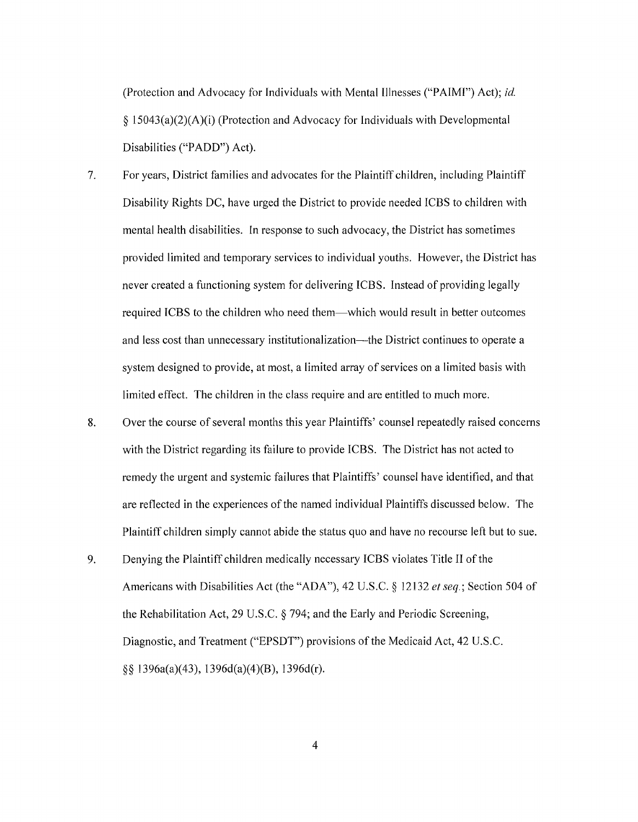(Protection and Advocacy for Individuals with Mental Illnesses ("PAIMI") Act); *id.*  § l 5043(a)(2)(A)(i) (Protection and Advocacy for Individuals with Developmental Disabilities ("PADD") Act).

7. For years, District families and advocates for the Plaintiff children, including Plaintiff Disability Rights DC, have urged the District to provide needed ICBS to children with mental health disabilities. In response to such advocacy, the District has sometimes provided limited and temporary services to individual youths. However, the District has never created a functioning system for delivering ICBS. Instead of providing legally required ICBS to the children who need them-which would result in better outcomes and less cost than unnecessary institutionalization—the District continues to operate a system designed to provide, at most, a limited array of services on a limited basis with limited effect. The children in the class require and are entitled to much more.

- 8. Over the course of several months this year Plaintiffs' counsel repeatedly raised concerns with the District regarding its failure to provide ICBS. The District has not acted to remedy the urgent and systemic failures that Plaintiffs' counsel have identified, and that are reflected in the experiences of the named individual Plaintiffs discussed below. The Plaintiff children simply cannot abide the status quo and have no recourse left but to sue.
- 9. Denying the Plaintiff children medically necessary ICBS violates Title II of the Americans with Disabilities Act (the "ADA"), 42 U.S.C. § 12132 *et seq.;* Section 504 of the Rehabilitation Act, 29 U.S.C. § 794; and the Early and Periodic Screening, Diagnostic, and Treatment ("EPSDT") provisions of the Medicaid Act, 42 U.S.C. §§ 1396a(a)(43), 1396d(a)(4)(B), 1396d(r).

4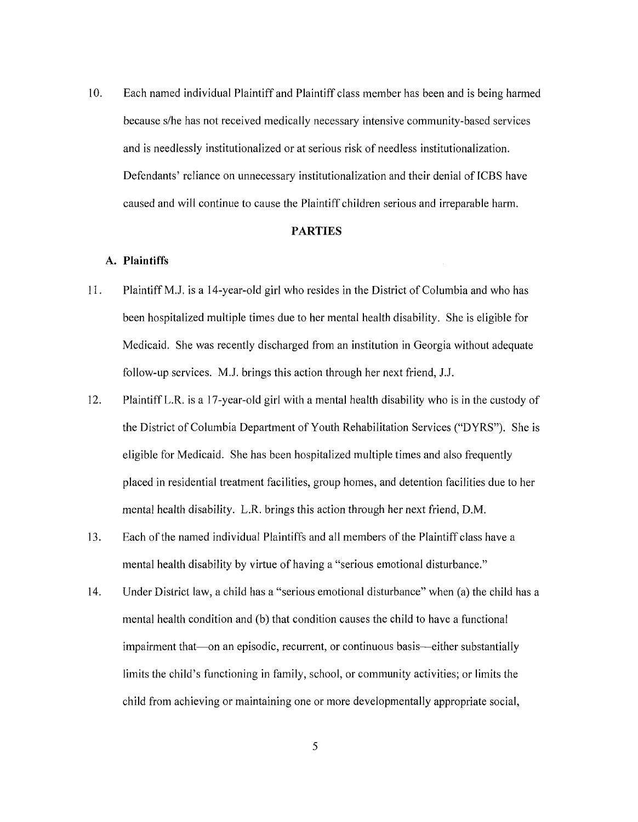10. Each named individual Plaintiff and Plaintiff class member has been and is being harmed because s/he has not received medically necessary intensive community-based services and is needlessly institutionalized or at serious risk of needless institutionalization. Defendants' reliance on unnecessary institutionalization and their denial of ICBS have caused and will continue to cause the Plaintiff children serious and irreparable harm.

## **PARTIES**

## **A. Plaintiffs**

- 11. Plaintiff M.J. is a 14-year-old girl who resides in the District of Columbia and who has been hospitalized multiple times due to her mental health disability. She is eligible for Medicaid. She was recently discharged from an institution in Georgia without adequate follow-up services. M.J. brings this action through her next friend, J.J.
- 12. Plaintiff LR. is a 17-year-old girl with a mental health disability who is in the custody of the District of Columbia Department of Youth Rehabilitation Services ("DYRS"). She is eligible for Medicaid. She has been hospitalized multiple times and also frequently placed in residential treatment facilities, group homes, and detention facilities due to her mental health disability. L.R. brings this action through her next friend, D.M.
- 13. Each of the named individual Plaintiffs and all members of the Plaintiff class have a mental health disability by virtue of having a "serious emotional disturbance."
- 14. Under District law, a child has a "serious emotional disturbance" when (a) the child has a mental health condition and (b) that condition causes the child to have a functional impairment that—on an episodic, recurrent, or continuous basis—either substantially limits the child's functioning in family, school, or community activities; or limits the child from achieving or maintaining one or more developmentally appropriate social,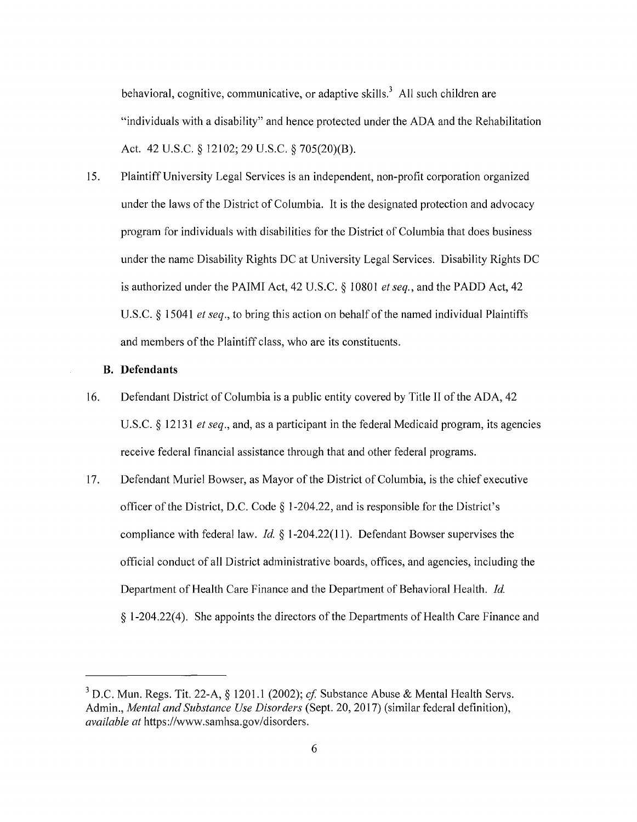behavioral, cognitive, communicative, or adaptive skills.<sup>3</sup> All such children are "individuals with a disability" and hence protected under the ADA and the Rehabilitation Act. 42 U.S.C. § 12102; 29 U.S.C. § 705(20)(B).

15. Plaintiff University Legal Services is an independent, non-profit corporation organized under the laws of the District of Columbia. It is the designated protection and advocacy program for individuals with disabilities for the District of Columbia that does business under the name Disability Rights DC at University Legal Services. Disability Rights DC is authorized under the PAIMI Act, 42 U.S.C. § 10801 *et seq.,* and the PADD Act, 42 U.S.C. § 15041 *et seq.,* to bring this action on behalf of the named individual Plaintiffs and members of the Plaintiff class, who are its constituents.

## **B. Defendants**

- 16. Defendant District of Columbia is a public entity covered by Title II of the ADA, 42 U.S.C. § 12131 *et seq.,* and, as a participant in the federal Medicaid program, its agencies receive federal financial assistance through that and other federal programs.
- 17. Defendant Muriel Bowser, as Mayor of the District of Columbia, is the chief executive officer of the District, D.C. Code § 1-204.22, and is responsible for the District's compliance with federal law. *Id.* § 1-204.22(11 ). Defendant Bowser supervises the official conduct of all District administrative boards, offices, and agencies, including the Department of Health Care Finance and the Department of Behavioral Health. *Id.*  § 1-204.22(4). She appoints the directors of the Departments of Health Care Finance and

 $3$  D.C. Mun. Regs. Tit. 22-A,  $\S$  1201.1 (2002); *cf.* Substance Abuse & Mental Health Servs. Admin., *Mental and Substance Use Disorders* (Sept. 20, 2017) (similar federal definition), *available at* https://www.samhsa.gov/disorders.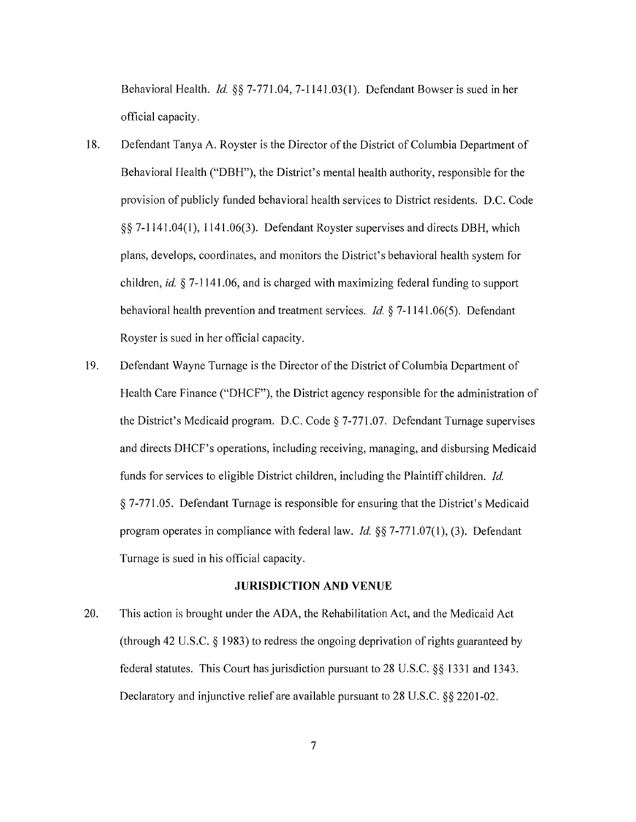Behavioral Health. *Id.* §§ 7-771.04, 7-1141.03(1). Defendant Bowser is sued in her official capacity.

- 18. Defendant Tanya A. Royster is the Director of the District of Columbia Department of Behavioral Health ("DBH"), the District's mental health authority, responsible for the provision of publicly funded behavioral health services to District residents. D.C. Code §§ 7-1141.04(1), 1141.06(3). Defendant Royster supervises and directs DBH, which plans, develops, coordinates, and monitors the District's behavioral health system for children, *id.* § 7-1141.06, and is charged with maximizing federal funding to support behavioral health prevention and treatment services. *Id.* § 7-1141.06(5). Defendant Royster is sued in her official capacity.
- 19. Defendant Wayne Turnage is the Director of the District of Columbia Department of Health Care Finance ("DHCF"), the District agency responsible for the administration of the District's Medicaid program. D.C. Code§ 7-771.07. Defendant Turnage supervises and directs DHCF's operations, including receiving, managing, and disbursing Medicaid funds for services to eligible District children, including the Plaintiff children. *Id.*  § 7-771.05. Defendant Turnage is responsible for ensuring that the District's Medicaid program operates in compliance with federal law. *Id.* §§ 7-771.07(1), (3). Defendant Turnage is sued in his official capacity.

## **JURISDICTION AND VENUE**

20. This action is brought under the ADA, the Rehabilitation Act, and the Medicaid Act (through 42 U.S.C.  $\S$  1983) to redress the ongoing deprivation of rights guaranteed by federal statutes. This Court has jurisdiction pursuant to 28 U.S.C. §§ 1331 and 1343. Declaratory and injunctive relief are available pursuant to 28 U.S.C. §§ 2201-02.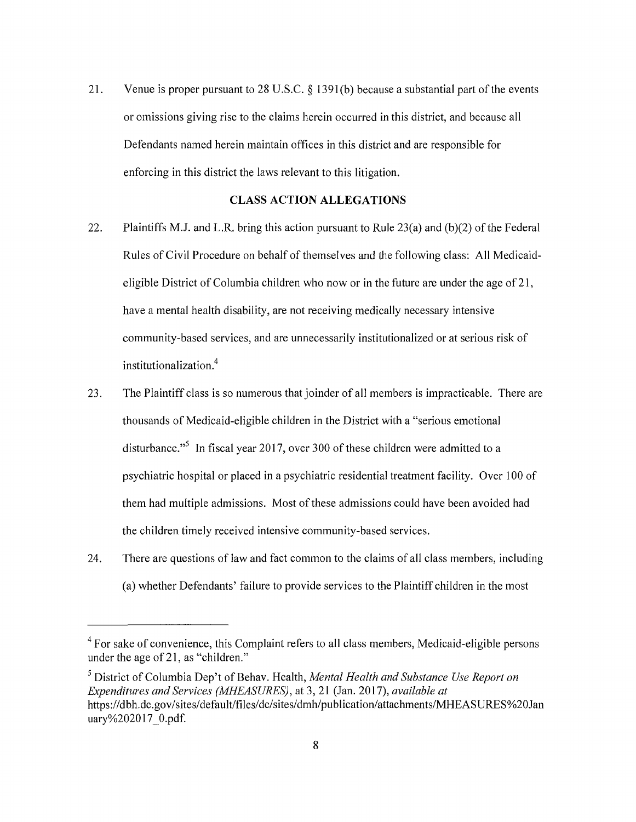21. Venue is proper pursuant to 28 U.S.C. § 1391(b) because a substantial part of the events or omissions giving rise to the claims herein occurred in this district, and because all Defendants named herein maintain offices in this district and are responsible for enforcing in this district the laws relevant to this litigation.

## **CLASS ACTION ALLEGATIONS**

- 22. Plaintiffs M.J. and L.R. bring this action pursuant to Rule 23(a) and (b)(2) of the Federal Rules of Civil Procedure on behalf of themselves and the following class: All Medicaideligible District of Columbia children who now or in the future are under the age of 21, have a mental health disability, are not receiving medically necessary intensive community-based services, and are unnecessarily institutionalized or at serious risk of institutionalization.<sup>4</sup>
- 23. The Plaintiff class is so numerous that joinder of all members is impracticable. There are thousands of Medicaid-eligible children in the District with a "serious emotional disturbance."<sup>5</sup> In fiscal year 2017, over 300 of these children were admitted to a psychiatric hospital or placed in a psychiatric residential treatment facility. Over 100 of them had multiple admissions. Most of these admissions could have been avoided had the children timely received intensive community-based services.
- 24. There are questions of law and fact common to the claims of all class members, including (a) whether Defendants' failure to provide services to the Plaintiff children in the most

<sup>&</sup>lt;sup>4</sup> For sake of convenience, this Complaint refers to all class members, Medicaid-eligible persons under the age of 21, as "children."

<sup>&</sup>lt;sup>5</sup> District of Columbia Dep't of Behav. Health, *Mental Health and Substance Use Report on Expenditures and Services (MHEASURES),* at 3, 21 (Jan. 2017), *available at*  https://dbh.dc.gov/sites/default/files/dc/sites/dmh/publication/attachments/MHEASURES%20Jan uary%202017 0.pdf.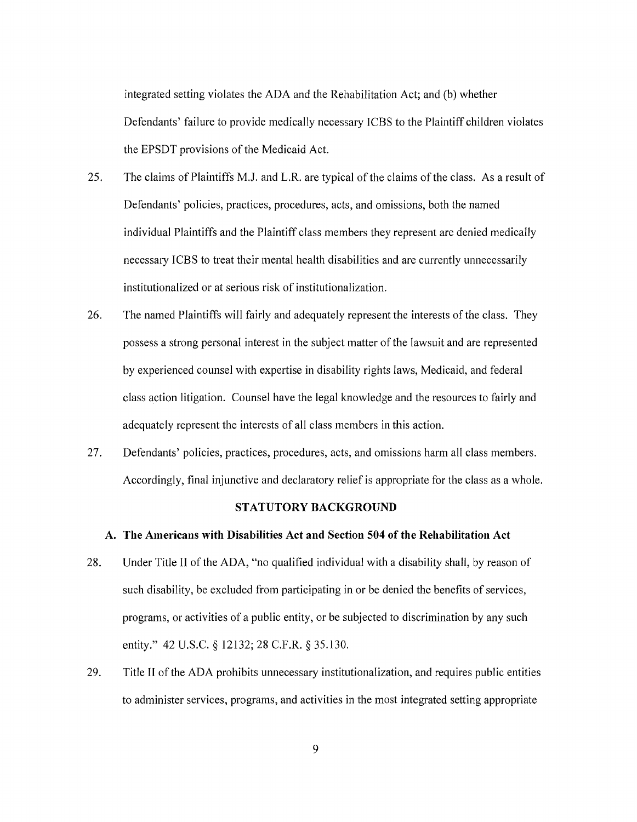integrated setting violates the ADA and the Rehabilitation Act; and (b) whether Defendants' failure to provide medically necessary ICBS to the Plaintiff children violates the EPSDT provisions of the Medicaid Act.

- 25. The claims of Plaintiffs M.J. and L.R. are typical of the claims of the class. As a result of Defendants' policies, practices, procedures, acts, and omissions, both the named individual Plaintiffs and the Plaintiff class members they represent are denied medically necessary ICBS to treat their mental health disabilities and are currently unnecessarily institutionalized or at serious risk of institutionalization.
- 26. The named Plaintiffs will fairly and adequately represent the interests of the class. They possess a strong personal interest in the subject matter of the lawsuit and are represented by experienced counsel with expertise in disability rights laws, Medicaid, and federal class action litigation. Counsel have the legal knowledge and the resources to fairly and adequately represent the interests of all class members in this action.
- 27. Defendants' policies, practices, procedures, acts, and omissions harm all class members. Accordingly, final injunctive and declaratory relief is appropriate for the class as a whole.

#### **STATUTORY BACKGROUND**

#### **A. The Americans with Disabilities Act and Section 504 of the Rehabilitation Act**

- 28. Under Title II of the ADA, "no qualified individual with a disability shall, by reason of such disability, be excluded from participating in or be denied the benefits of services, programs, or activities of a public entity, or be subjected to discrimination by any such entity." 42 U.S.C. § 12132; 28 C.F.R. § 35.130.
- 29. Title II of the ADA prohibits unnecessary institutionalization, and requires public entities to administer services, programs, and activities in the most integrated setting appropriate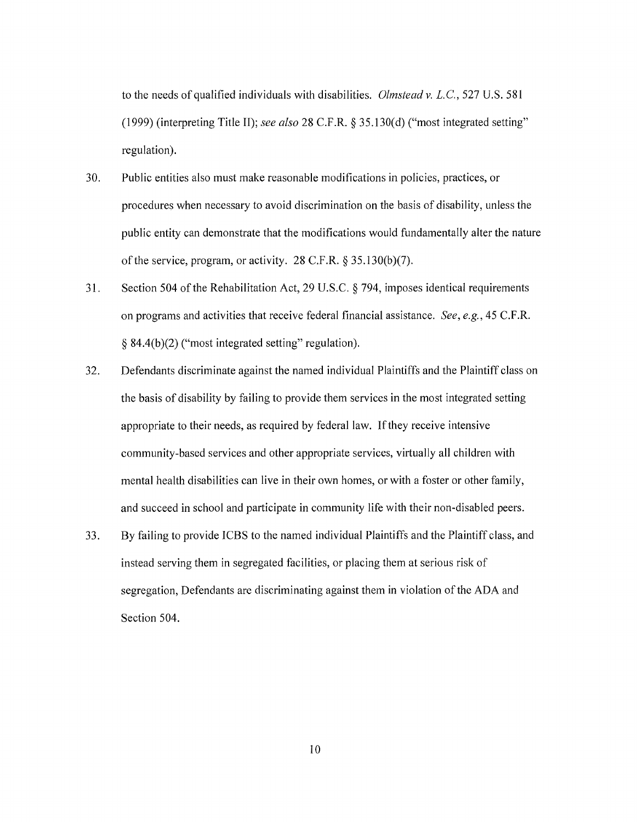to the needs of qualified individuals with disabilities. *Olmsteadv.* L.C., 527 U.S. 581 (1999) (interpreting Title II); *see also* 28 C.F .R. § 35 .130( d) ("most integrated setting" regulation).

- 30. Public entities also must make reasonable modifications in policies, practices, or procedures when necessary to avoid discrimination on the basis of disability, unless the public entity can demonstrate that the modifications would fundamentally alter the nature of the service, program, or activity. 28 C.F.R. § 35.130(b)(7).
- 31. Section 504 of the Rehabilitation Act, 29 U.S.C. § 794, imposes identical requirements on programs and activities that receive federal financial assistance. *See, e.g.,* 45 C.F.R. § 84.4(b )(2) ("most integrated setting" regulation).
- 32. Defendants discriminate against the named individual Plaintiffs and the Plaintiff class on the basis of disability by failing to provide them services in the most integrated setting appropriate to their needs, as required by federal law. If they receive intensive community-based services and other appropriate services, virtually all children with mental health disabilities can live in their own homes, or with a foster or other family, and succeed in school and participate in community life with their non-disabled peers.
- 33. By failing to provide ICBS to the named individual Plaintiffs and the Plaintiff class, and instead serving them in segregated facilities, or placing them at serious risk of segregation, Defendants are discriminating against them in violation of the ADA and Section 504.

10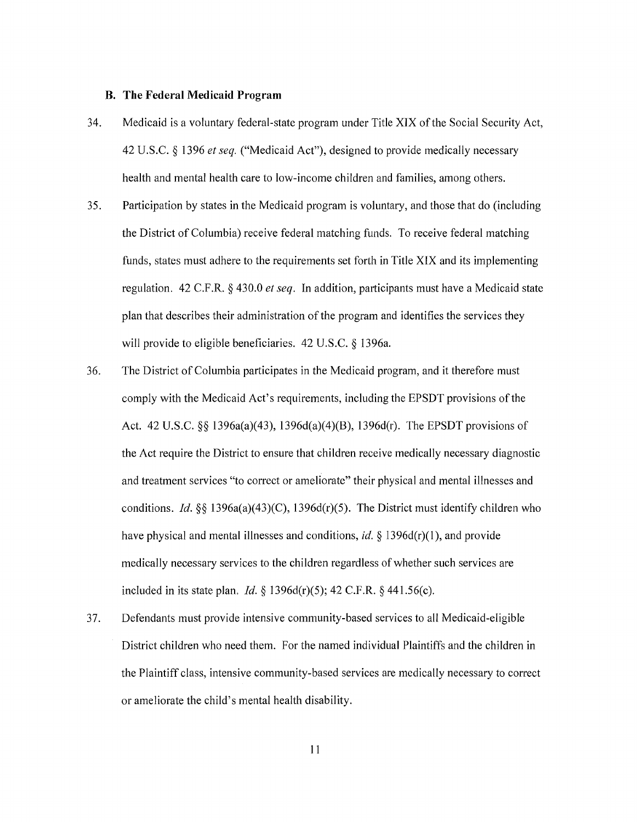#### **B. The Federal Medicaid Program**

- 34. Medicaid is a voluntary federal-state program under Title XIX of the Social Security Act, 42 U.S.C. § 1396 *et seq.* ("Medicaid Act"), designed to provide medically necessary health and mental health care to low-income children and families, among others.
- 35. Participation by states in the Medicaid program is voluntary, and those that do (including the District of Columbia) receive federal matching funds. To receive federal matching funds, states must adhere to the requirements set forth in Title XIX and its implementing regulation. 42 C.F.R. § 430.0 *et seq.* In addition, participants must have a Medicaid state plan that describes their administration of the program and identifies the services they will provide to eligible beneficiaries. 42 U.S.C. § 1396a.
- 36. The District of Columbia participates in the Medicaid program, and it therefore must comply with the Medicaid Act's requirements, including the EPSDT provisions of the Act. 42 U.S.C. §§ 1396a(a)(43), 1396d(a)(4)(B), 1396d(r). The EPSDT provisions of the Act require the District to ensure that children receive medically necessary diagnostic and treatment services "to correct or ameliorate" their physical and mental illnesses and conditions. *Id.§§* 1396a(a)(43)(C), 1396d(r)(5). The District must identify children who have physical and mental illnesses and conditions, *id*. § 1396d(r)(1), and provide medically necessary services to the children regardless of whether such services are included in its state plan, *Id.§* 1396d(r)(5); 42 C.F.R. § 441.56(c).
- 37. Defendants must provide intensive community-based services to all Medicaid-eligible District children who need them. For the named individual Plaintiffs and the children in the Plaintiff class, intensive community-based services are medically necessary to correct or ameliorate the child's mental health disability.

11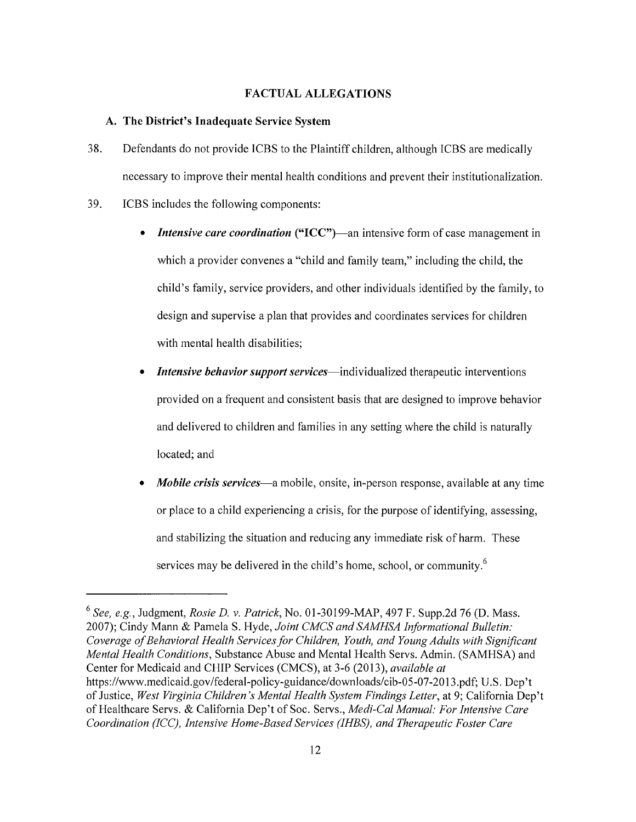## FACTUAL ALLEGATIONS

## A. The District's Inadequate Service System

- 38. Defendants do not provide ICBS to the Plaintiff children, although ICBS are medically necessary to improve their mental health conditions and prevent their institutionalization.
- 39. ICBS includes the following components:
	- *Intensive care coordination* ("ICC")—an intensive form of case management in which a provider convenes a "child and family team," including the child, the child's family, service providers, and other individuals identified by the family, to design and supervise a plan that provides and coordinates services for children with mental health disabilities;
	- **Intensive behavior support services**—individualized therapeutic interventions provided on a frequent and consistent basis that are designed to improve behavior and delivered to children and families in any setting where the child is naturally located; and
	- *Mobile crisis services-a* mobile, onsite, in-person response, available at any time or place to a child experiencing a crisis, for the purpose of identifying, assessing, and stabilizing the situation and reducing any immediate risk of harm. These services may be delivered in the child's home, school, or community.<sup>6</sup>

<sup>6</sup>*See, e.g.,* Judgment, *Rosie D. v. Patrick,* No. 01-30199-MAP, 497 F. Supp.2d 76 (D. Mass. 2007); Cindy Mann & Pamela S. Hyde, *Joint CMCS and SAMHSA Informational Bulletin: Coverage of Behavioral Health Services for Children, Youth, and Young Adults with Significant Mental Health Conditions,* Substance Abuse and Mental Health Servs. Admin. (SAMHSA) and Center for Medicaid and CHIP Services (CMCS), at 3-6 (2013), *available at*  https://www.medicaid.gov/federal-policy-guidance/downloads/cib-05-07-2013.pdf; U.S. Dep't of Justice, *West Virginia Children's Mental Health System Findings Letter,* at 9; California Dep't of Healthcare Servs. & California Dep't of Soc. Servs., *Medi-Cal Manual: For Intensive Care Coordination (ICC), Intensive Home-Based Services (IHBS), and Therapeutic Foster Care*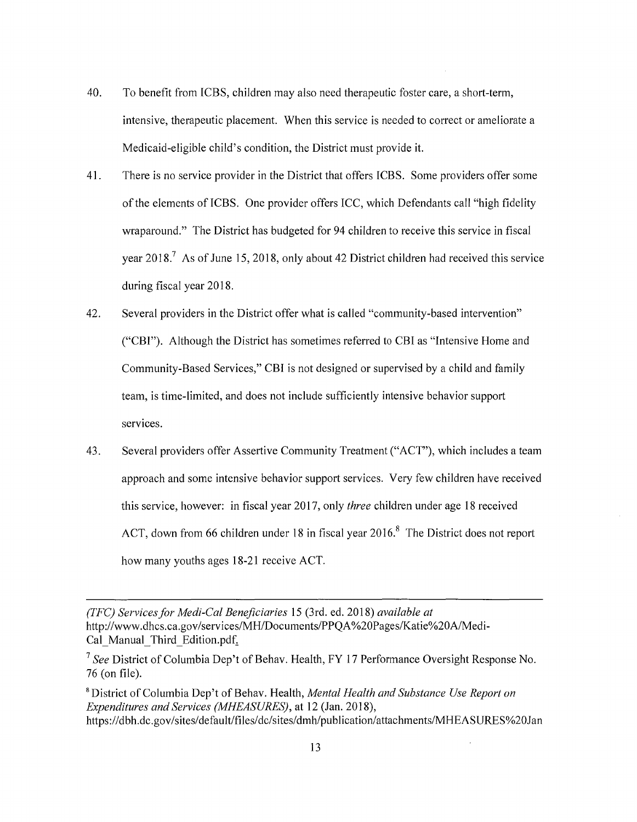- 40. To benefit from ICBS, children may also need therapeutic foster care, a short-term, intensive, therapeutic placement. When this service is needed to correct or ameliorate a Medicaid-eligible child's condition, the District must provide it.
- 41. There is no service provider in the District that offers ICBS. Some providers offer some of the elements of ICBS. One provider offers ICC, which Defendants call "high fidelity wraparound." The District has budgeted for 94 children to receive this service in fiscal year 2018.<sup>7</sup> As of June 15, 2018, only about 42 District children had received this service during fiscal year 2018.
- 42. Several providers in the District offer what is called "community-based intervention" ("CBI"). Although the District has sometimes referred to CBI as "Intensive Home and Community-Based Services," CBI is not designed or supervised by a child and family team, is time-limited, and does not include sufficiently intensive behavior support services.
- 43. Several providers offer Assertive Community Treatment ("ACT"), which includes a team approach and some intensive behavior support services. Very few children have received this service, however: in fiscal year 2017, only *three* children under age 18 received ACT, down from 66 children under 18 in fiscal year 2016.<sup>8</sup> The District does not report how many youths ages 18-21 receive ACT.

*<sup>(</sup>TFC) Services for Medi-Cal Beneficiaries* 15 (3rd. ed. 2018) *available at*  http://www.dhcs.ca.gov/services/MH/Documents/PPQA %20Pages/Katie%20A/Medi-Cal Manual Third Edition.pdf.

<sup>&</sup>lt;sup>7</sup> See District of Columbia Dep't of Behav. Health, FY 17 Performance Oversight Response No. 76 (on file).

<sup>8</sup> District of Columbia Dep't of Behav. Health, *Mental Health and Substance Use Report on Expenditures and Services (MHEASURES),* at 12 (Jan. 2018), https://dbh.dc.gov/sites/default/files/dc/sites/dmh/publication/attachments/MHEASURES%20Jan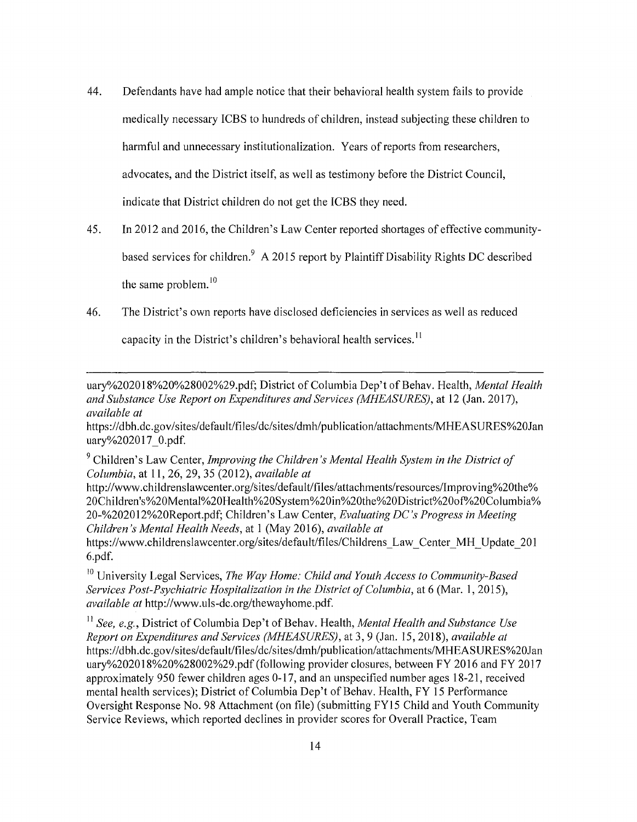- 44. Defendants have had ample notice that their behavioral health system fails to provide medically necessary ICBS to hundreds of children, instead subjecting these children to harmful and unnecessary institutionalization. Years of reports from researchers, advocates, and the District itself, as well as testimony before the District Council, indicate that District children do not get the ICBS they need.
- 45. In 2012 and 2016, the Children's Law Center reported shortages of effective communitybased services for children.<sup>9</sup> A 2015 report by Plaintiff Disability Rights DC described the same problem.<sup>10</sup>
- 46. The District's own reports have disclosed deficiencies in services as well as reduced

capacity in the District's children's behavioral health services.<sup>11</sup>

uary%202018%20%28002%29.pdf; District of Columbia Dep't of Behav. Health, *Mental Health and Substance Use Report on Expenditures and Services (MHEASURES),* at 12 (Jan. 2017), *available at* 

https://dbh.dc.gov/sites/default/files/dc/sites/dmh/publication/attachments/MHEASURES%20Jan uary%202017 0.pdf.

9 Children's Law Center, *Improving the Children's Mental Health System in the District of Columbia,* at 11, 26, 29, 35 (2012), *available at* 

http://www.childrenslawcenter.org/sites/default/files/attachments/resources/lmproving%20the% 20Children's%20Mental%20Health%20System%20in%20the%20District%20of0/o20Columbia% 20-%202012%20Report.pdf; Children's Law Center, *Evaluating DC's Progress in Meeting Children's Mental Health Needs,* at 1 (May 2016), *available at* 

https://www.childrenslawcenter.org/sites/default/files/Childrens Law Center MH Update 201 6.pdf.

<sup>10</sup> University Legal Services, *The Way Home: Child and Youth Access to Community-Based Services Post-Psychiatric Hospitalization in the District of Columbia,* at 6 (Mar. 1, 2015), *available at* http://www.uls-dc.org/thewayhome.pdf.

<sup>11</sup> See, e.g., District of Columbia Dep't of Behav. Health, *Mental Health and Substance Use Report on Expenditures and Services (MHEASURES),* at 3, 9 (Jan. 15, 2018), *available at*  https://dbh.dc.gov/sites/default/files/dc/sites/dmh/publication/attachments/MHEASURES%20Jan uary%202018%20%28002%29 .pdf (following provider closures, between FY 2016 and FY 2017 approximately 950 fewer children ages 0-17, and an unspecified number ages 18-21, received mental health services); District of Columbia Dep't of Behav. Health, FY 15 Performance Oversight Response No. 98 Attachment (on file) (submitting FY15 Child and Youth Community Service Reviews, which reported declines in provider scores for Overall Practice, Team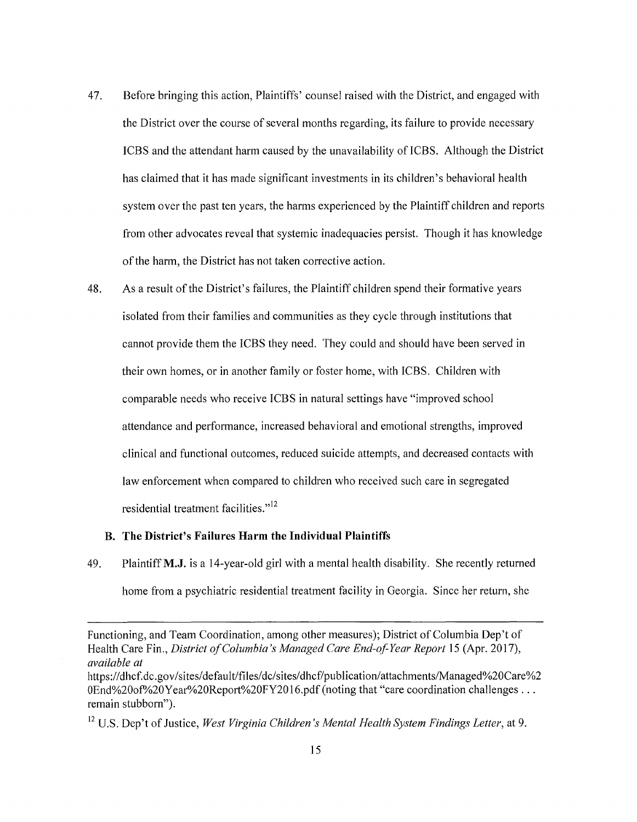- 47. Before bringing this action, Plaintiffs' counsel raised with the District, and engaged with the District over the course of several months regarding, its failure to provide necessary ICBS and the attendant harm caused by the unavailability of ICBS. Although the District has claimed that it has made significant investments in its children's behavioral health system over the past ten years, the harms experienced by the Plaintiff children and reports from other advocates reveal that systemic inadequacies persist. Though it has knowledge of the harm, the District has not taken corrective action.
- 48. As a result of the District's failures, the Plaintiff children spend their formative years isolated from their families and communities as they cycle through institutions that cannot provide them the ICBS they need. They could and should have been served in their own homes, or in another family or foster home, with ICBS. Children with comparable needs who receive ICBS in natural settings have "improved school attendance and performance, increased behavioral and emotional strengths, improved clinical and functional outcomes, reduced suicide attempts, and decreased contacts with law enforcement when compared to children who received such care in segregated residential treatment facilities."<sup>12</sup>

## **B. The District's Failures Harm the Individual Plaintiffs**

49. Plaintiff **M.J.** is a 14-year-old girl with a mental health disability. She recently returned home from a psychiatric residential treatment facility in Georgia. Since her return, she

Functioning, and Team Coordination, among other measures); District of Columbia Dep't of Health Care Fin., *District of Columbia's Managed Care End-of Year Report* 15 (Apr. 2017), *available at* 

https://dhcf.dc.gov/sites/default/files/dc/sites/dhcf/publication/attachments/Managed%20Care%2 0End%20of%20Year%20Report%20FY2016.pdf (noting that "care coordination challenges ... remain stubborn").

<sup>12</sup> U.S. Dep't of Justice, *West Virginia Children's Mental Health System Findings Letter,* at 9.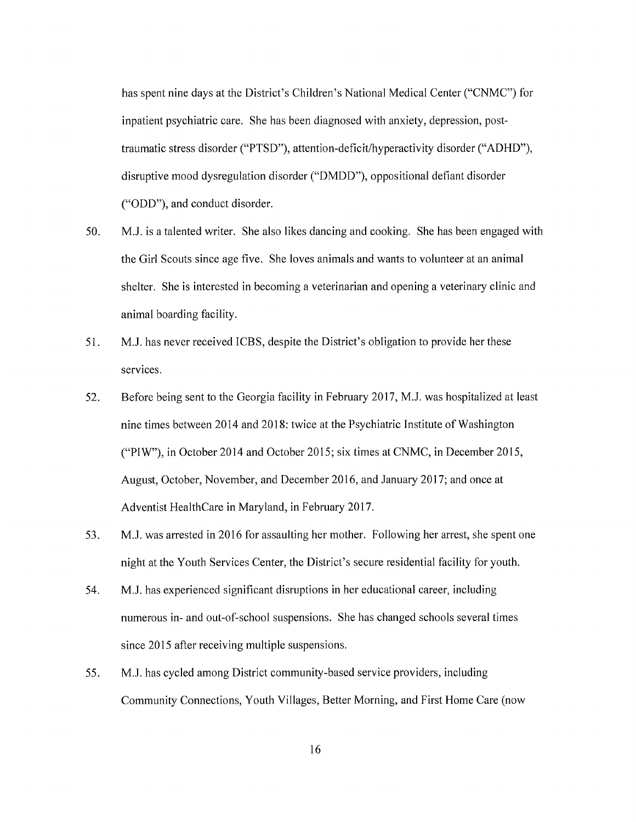has spent nine days at the District's Children's National Medical Center ("CNMC") for inpatient psychiatric care. She has been diagnosed with anxiety, depression, posttraumatic stress disorder ("PTSD"), attention-deficit/hyperactivity disorder ("ADHD"), disruptive mood dysregulation disorder ("DMDD"), oppositional defiant disorder ("ODD"), and conduct disorder.

- 50. M.J. is a talented writer. She also likes dancing and cooking. She has been engaged with the Girl Scouts since age five. She loves animals and wants to volunteer at an animal shelter. She is interested in becoming a veterinarian and opening a veterinary clinic and animal boarding facility.
- 51. M.J. has never received ICBS, despite the District's obligation to provide her these services.
- 52. Before being sent to the Georgia facility in February 2017, M.J. was hospitalized at least nine times between 2014 and 2018: twice at the Psychiatric Institute of Washington ("PIW"), in October 2014 and October 2015; six times at CNMC, in December 2015, August, October, November, and December 2016, and January 2017; and once at Adventist HealthCare in Maryland, in February 2017.
- 53. M.J. was arrested in 2016 for assaulting her mother. Following her arrest, she spent one night at the Youth Services Center, the District's secure residential facility for youth.
- 54. MJ. has experienced significant disruptions in her educational career; including numerous in- and out-of-school suspensions. She has changed schools several times since 2015 after receiving multiple suspensions.
- 55. M.J. has cycled among District community-based service providers, including Community Connections, Youth Villages, Better Morning, and First Home Care (now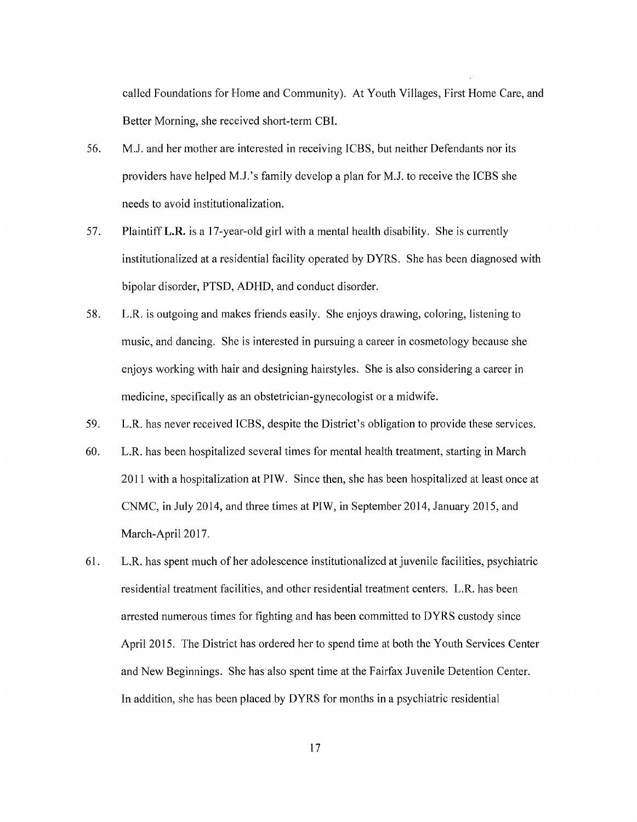called Foundations for Home and Community). At Youth Villages, First Home Care, and Better Morning, she received short-term CBI.

- 56. M.J. and her mother are interested in receiving ICBS, but neither Defendants nor its providers have helped M.J.'s family develop a plan for M.J. to receive the ICBS she needs to avoid institutionalization.
- 57. Plaintiff L.R. is a 17-year-old girl with a mental health disability. She is currently institutionalized at a residential facility operated by DYRS. She has been diagnosed with bipolar disorder, PTSD, ADHD, and conduct disorder.
- 58. L.R. is outgoing and makes friends easily. She enjoys drawing, coloring, listening to music, and dancing. She is interested in pursuing a career in cosmetology because she enjoys working with hair and designing hairstyles. She is also considering a career in medicine, specifically as an obstetrician-gynecologist or a midwife.
- 59. L.R. has never received ICBS, despite the District's obligation to provide these services.
- 60. L.R. has been hospitalized several times for mental health treatment, starting in March 2011 with a hospitalization at PIW. Since then, she has been hospitalized at least once at CNMC, in July 2014, and three times at PIW, in September 2014, January 2015, and March-April 2017.
- 61. L.R. has spent much of her adolescence institutionalized at juvenile facilities, psychiatric residential treatment facilities; and other residential treatment centers. L.R. has been arrested numerous times for fighting and has been committed to DYRS custody since April 2015. The District has ordered her to spend time at both the Youth Services Center and New Beginnings. She has also spent time at the Fairfax Juvenile Detention Center. In addition, she has been placed by DYRS for months in a psychiatric residential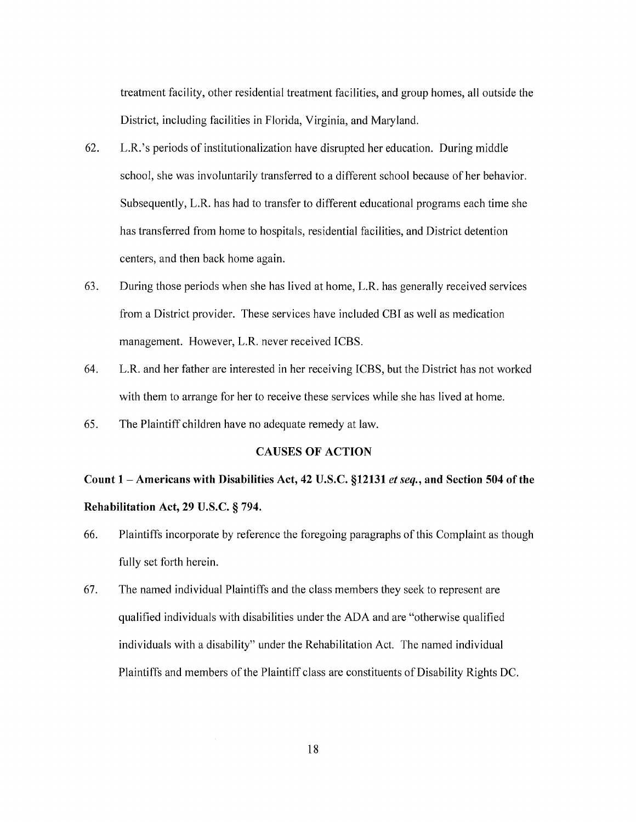treatment facility, other residential treatment facilities, and group homes, all outside the District, including facilities in Florida, Virginia, and Maryland.

- 62. L.R.'s periods of institutionalization have disrupted her education. During middle school, she was involuntarily transferred to a different school because of her behavior. Subsequently, L.R. has had to transfer to different educational programs each time she has transferred from home to hospitals, residential facilities, and District detention centers, and then back home again.
- 63. During those periods when she has lived at home, L.R. has generally received services from a District provider. These services have included CBI as well as medication management. However, L.R. never received ICBS.
- 64. L.R. and her father are interested in her receiving ICBS, but the District has not worked with them to arrange for her to receive these services while she has lived at home.
- 65. The Plaintiff children have no adequate remedy at law.

## **CAUSES OF ACTION**

# **Count 1 -Americans with Disabilities Act, 42 U.S.C. §12131** *et seq.,* **and Section 504 of the Rehabilitation Act, 29 U.S.C. § 794.**

- 66. Plaintiffs incorporate by reference the foregoing paragraphs of this Complaint as though fully set forth herein.
- 67. The named individual Plaintiffs and the class members they seek to represent are qualified individuals with disabilities under the ADA and are "otherwise qualified individuals with a disability" under the Rehabilitation Act. The named individual Plaintiffs and members of the Plaintiff class are constituents of Disability Rights DC.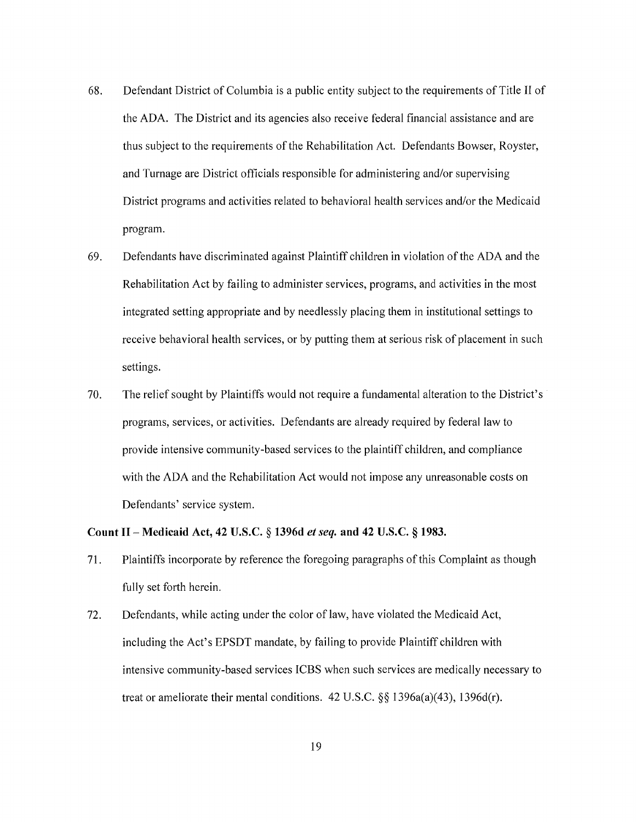- 68. Defendant District of Columbia is a public entity subject to the requirements of Title II of the ADA. The District and its agencies also receive federal financial assistance and are thus subject to the requirements of the Rehabilitation Act. Defendants Bowser, Royster, and Turnage are District officials responsible for administering and/or supervising District programs and activities related to behavioral health services and/or the Medicaid program.
- 69. Defendants have discriminated against Plaintiff children in violation of the ADA and the Rehabilitation Act by failing to administer services, programs, and activities in the most integrated setting appropriate and by needlessly placing them in institutional settings to receive behavioral health services, or by putting them at serious risk of placement in such settings.
- 70. The relief sought by Plaintiffs would not require a fundamental alteration to the District's programs, services, or activities. Defendants are already required by federal law to provide intensive community-based services to the plaintiff children, and compliance with the ADA and the Rehabilitation Act would not impose any unreasonable costs on Defendants' service system.

## **Count** II - **Medicaid Act, 42 U.S.C. § 1396d** *et seq.* **and 42 U.S.C. § 1983.**

- 71. Plaintiffs incorporate by reference the foregoing paragraphs of this Complaint as though fully set forth herein.
- 72. Defendants, while acting under the color of law, have violated the Medicaid Act, including the Act's EPSDT mandate, by failing to provide Plaintiff children with intensive community-based services ICBS when such services are medically necessary to treat or ameliorate their mental conditions. 42 U.S.C. §§ 1396a(a)(43), 1396d(r).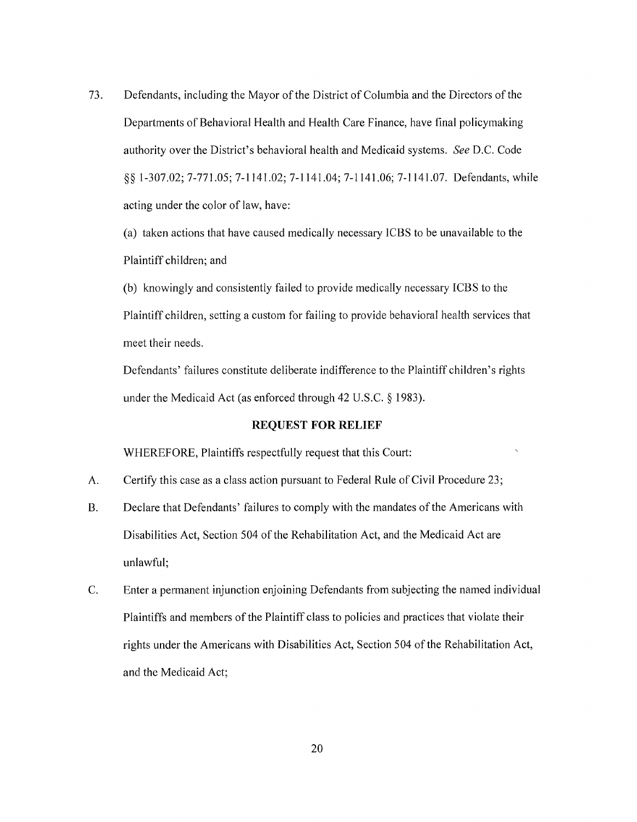73. Defendants, including the Mayor of the District of Columbia and the Directors of the Departments of Behavioral Health and Health Care Finance, have final policymaking authority over the District's behavioral health and Medicaid systems. *See* D.C. Code §§ 1-307.02; 7-771.05; 7-1141.02; 7-1141.04; 7-1141.06; 7-1141.07. Defendants, while acting under the color of law, have:

(a) taken actions that have caused medically necessary ICBS to be unavailable to the Plaintiff children; and

(b) knowingly and consistently failed to provide medically necessary ICBS to the Plaintiff children, setting a custom for failing to provide behavioral health services that meet their needs.

Defendants' failures constitute deliberate indifference to the Plaintiff children's rights under the Medicaid Act (as enforced through 42 U.S.C. § 1983).

## **REQUEST FOR RELIEF**

WHEREFORE, Plaintiffs respectfully request that this Court:

- A. Certify this case as a class action pursuant to Federal Rule of Civil Procedure 23;
- B. Declare that Defendants' failures to comply with the mandates of the Americans with Disabilities Act, Section 504 of the Rehabilitation Act, and the Medicaid Act are unlawful;
- C. Enter a permanent injunction enjoining Defendants from subjecting the named individual Plaintiffs and members of the Plaintiff class to policies and practices that violate their rights under the Americans with Disabilities Act, Section 504 of the Rehabilitation Act, and the Medicaid Act;